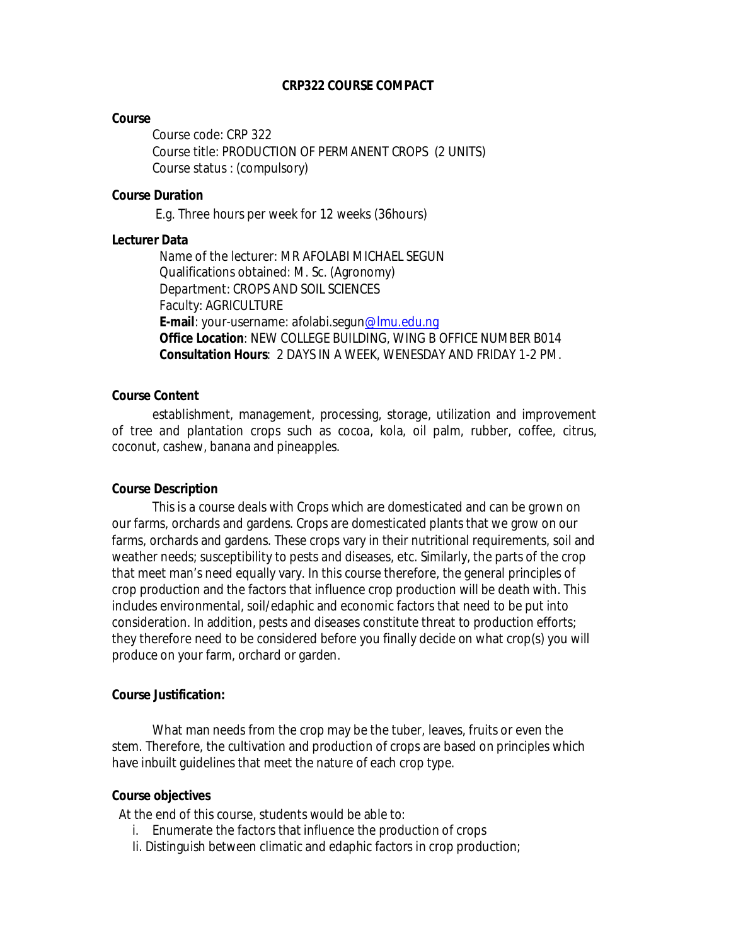#### **CRP322 COURSE COMPACT**

#### **Course**

Course code: CRP 322 Course title: PRODUCTION OF PERMANENT CROPS (2 UNITS) Course status : (compulsory)

#### **Course Duration**

E.g. Three hours per week for 12 weeks (36hours)

#### **Lecturer Data**

Name of the lecturer: MR AFOLABI MICHAEL SEGUN Qualifications obtained: M. Sc. (Agronomy) Department: CROPS AND SOIL SCIENCES Faculty: AGRICULTURE **E-mail**: your-username: afolabi.segun@lmu.edu.ng **Office Location**: NEW COLLEGE BUILDING, WING B OFFICE NUMBER B014 **Consultation Hours**: 2 DAYS IN A WEEK, WENESDAY AND FRIDAY 1-2 PM.

#### **Course Content**

establishment, management, processing, storage, utilization and improvement of tree and plantation crops such as cocoa, kola, oil palm, rubber, coffee, citrus, coconut, cashew, banana and pineapples.

#### **Course Description**

This is a course deals with Crops which are domesticated and can be grown on our farms, orchards and gardens. Crops are domesticated plants that we grow on our farms, orchards and gardens. These crops vary in their nutritional requirements, soil and weather needs; susceptibility to pests and diseases, etc. Similarly, the parts of the crop that meet man's need equally vary. In this course therefore, the general principles of crop production and the factors that influence crop production will be death with. This includes environmental, soil/edaphic and economic factors that need to be put into consideration. In addition, pests and diseases constitute threat to production efforts; they therefore need to be considered before you finally decide on what crop(s) you will produce on your farm, orchard or garden.

#### **Course Justification:**

What man needs from the crop may be the tuber, leaves, fruits or even the stem. Therefore, the cultivation and production of crops are based on principles which have inbuilt guidelines that meet the nature of each crop type.

#### **Course objectives**

At the end of this course, students would be able to:

- i. Enumerate the factors that influence the production of crops
- Ii. Distinguish between climatic and edaphic factors in crop production;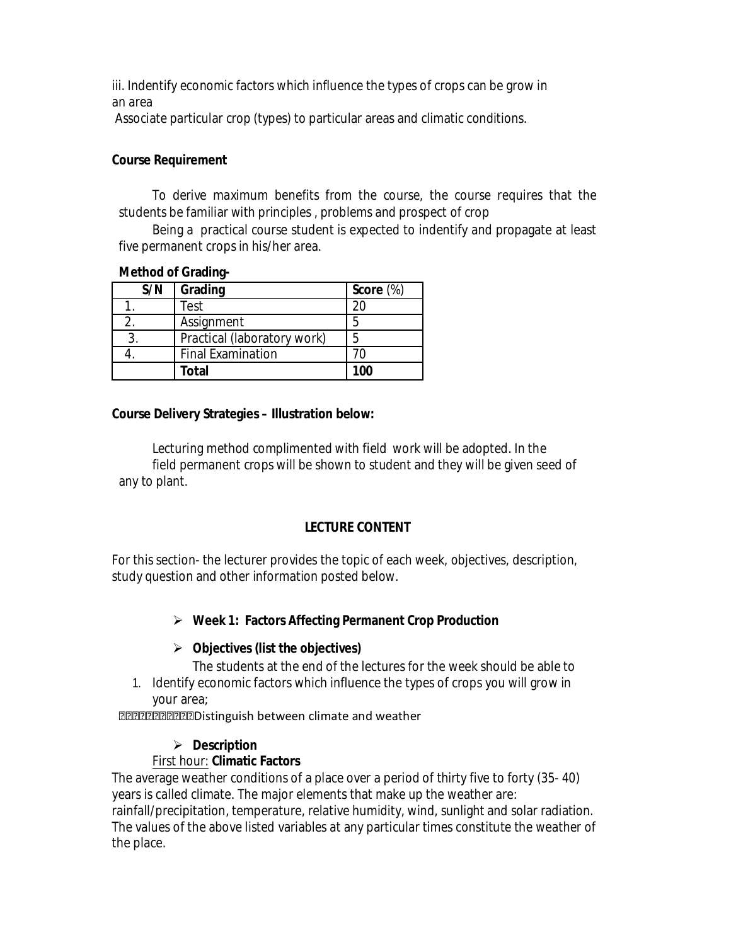iii. Indentify economic factors which influence the types of crops can be grow in an area

Associate particular crop (types) to particular areas and climatic conditions.

### **Course Requirement**

To derive maximum benefits from the course, the course requires that the students be familiar with principles , problems and prospect of crop

Being a practical course student is expected to indentify and propagate at least five permanent crops in his/her area.

#### **Method of Grading-**

| S/N | Grading                     | Score $(\%)$ |
|-----|-----------------------------|--------------|
|     | Test                        | 20           |
|     | Assignment                  | 5            |
|     | Practical (laboratory work) | 5            |
|     | <b>Final Examination</b>    | 70           |
|     | Total                       | 100          |

### **Course Delivery Strategies – Illustration below:**

Lecturing method complimented with field work will be adopted. In the field permanent crops will be shown to student and they will be given seed of any to plant.

### **LECTURE CONTENT**

For this section- the lecturer provides the topic of each week, objectives, description, study question and other information posted below.

## **Week 1: Factors Affecting Permanent Crop Production**

## **Objectives (list the objectives)**

The students at the end of the lectures for the week should be able to

1. Identify economic factors which influence the types of crops you will grow in your area;

**DEDEEDEDED** Distinguish between climate and weather

## **Description**

## First hour: **Climatic Factors**

The average weather conditions of a place over a period of thirty five to forty (35- 40) years is called climate. The major elements that make up the weather are:

rainfall/precipitation, temperature, relative humidity, wind, sunlight and solar radiation. The values of the above listed variables at any particular times constitute the weather of the place.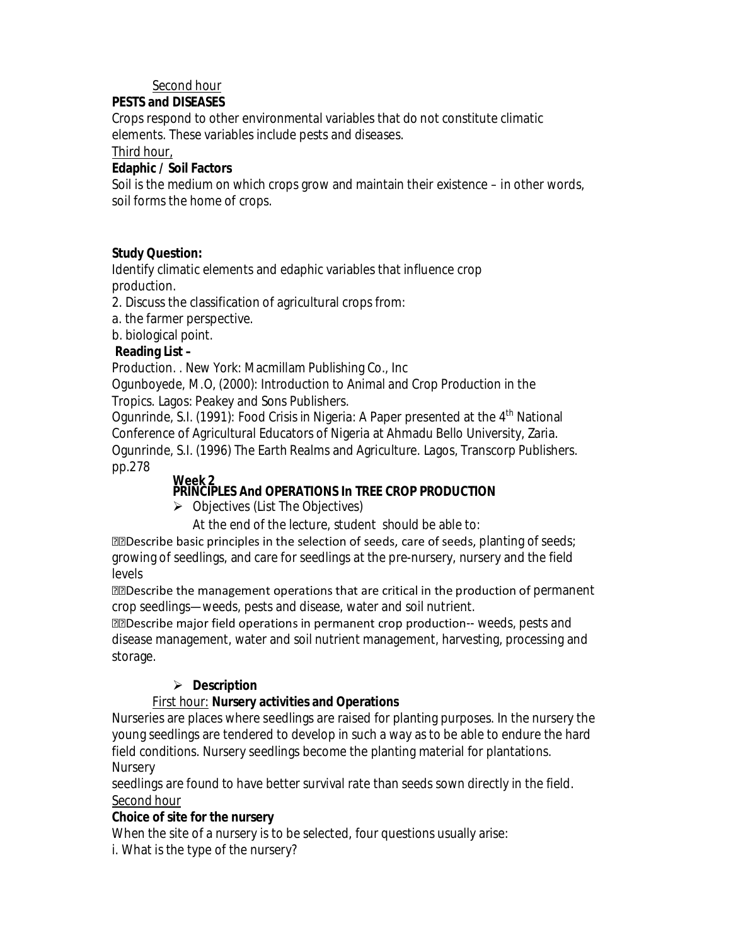### Second hour

### **PESTS and DISEASES**

Crops respond to other environmental variables that do not constitute climatic elements. These variables include pests and diseases.

Third hour,

### **Edaphic / Soil Factors**

Soil is the medium on which crops grow and maintain their existence – in other words, soil forms the home of crops.

### **Study Question:**

Identify climatic elements and edaphic variables that influence crop production.

2. Discuss the classification of agricultural crops from:

a. the farmer perspective.

b. biological point.

### **Reading List –**

Production. . New York: Macmillam Publishing Co., Inc

Ogunboyede, M.O, (2000): Introduction to Animal and Crop Production in the Tropics. Lagos: Peakey and Sons Publishers.

Ogunrinde, S.I. (1991): Food Crisis in Nigeria: A Paper presented at the 4<sup>th</sup> National Conference of Agricultural Educators of Nigeria at Ahmadu Bello University, Zaria. Ogunrinde, S.I. (1996) The Earth Realms and Agriculture. Lagos, Transcorp Publishers. pp.278

## **Week 2**

## **PRINCIPLES And OPERATIONS In TREE CROP PRODUCTION**

 $\triangleright$  Objectives (List The Objectives)

At the end of the lecture, student should be able to:

Describe basic principles in the selection of seeds, care of seeds, planting of seeds; growing of seedlings, and care for seedlings at the pre-nursery, nursery and the field levels

Describe the management operations that are critical in the production of permanent crop seedlings—weeds, pests and disease, water and soil nutrient.

Describe major field operations in permanent crop production-- weeds, pests and disease management, water and soil nutrient management, harvesting, processing and storage.

## **Description**

## First hour: **Nursery activities and Operations**

Nurseries are places where seedlings are raised for planting purposes. In the nursery the young seedlings are tendered to develop in such a way as to be able to endure the hard field conditions. Nursery seedlings become the planting material for plantations. **Nursery** 

seedlings are found to have better survival rate than seeds sown directly in the field. Second hour

### **Choice of site for the nursery**

When the site of a nursery is to be selected, four questions usually arise:

i. What is the type of the nursery?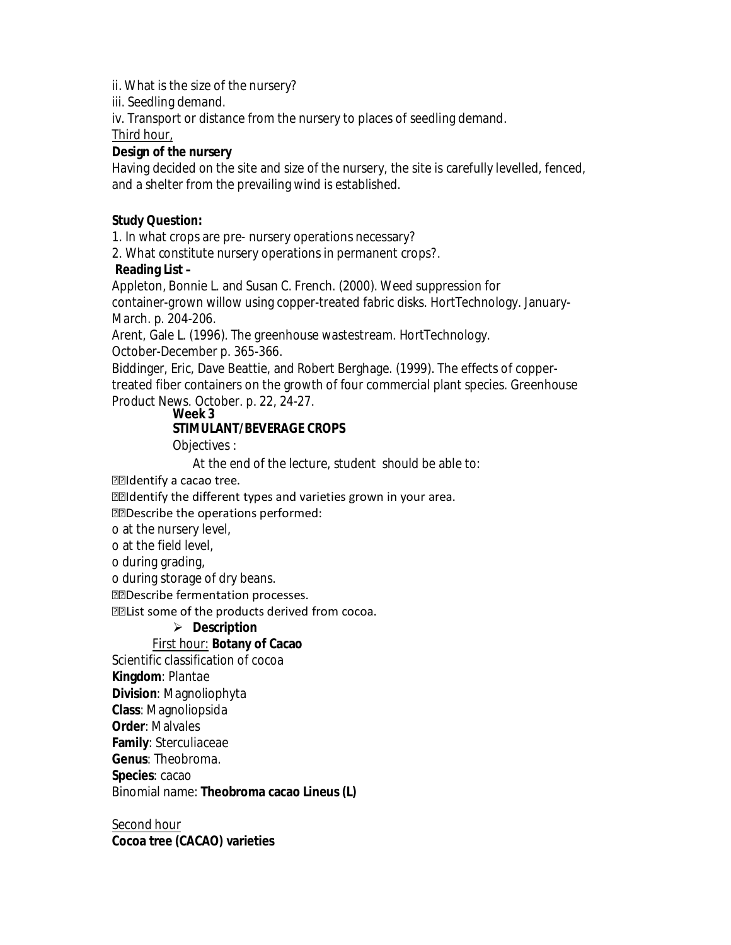ii. What is the size of the nursery?

iii. Seedling demand.

iv. Transport or distance from the nursery to places of seedling demand.

Third hour,

### **Design of the nursery**

Having decided on the site and size of the nursery, the site is carefully levelled, fenced, and a shelter from the prevailing wind is established.

### **Study Question:**

1. In what crops are pre- nursery operations necessary?

2. What constitute nursery operations in permanent crops?.

### **Reading List –**

Appleton, Bonnie L. and Susan C. French. (2000). Weed suppression for container-grown willow using copper-treated fabric disks. HortTechnology. January-March. p. 204-206.

Arent, Gale L. (1996). The greenhouse wastestream. HortTechnology. October-December p. 365-366.

Biddinger, Eric, Dave Beattie, and Robert Berghage. (1999). The effects of coppertreated fiber containers on the growth of four commercial plant species. Greenhouse Product News. October. p. 22, 24-27.

#### **Week 3 STIMULANT/BEVERAGE CROPS**

Objectives :

At the end of the lecture, student should be able to:

Identify a cacao tree.

*EDIdentify the different types and varieties grown in your area.* 

Describe the operations performed:

o at the nursery level,

o at the field level,

o during grading,

o during storage of dry beans.

Describe fermentation processes.

List some of the products derived from cocoa.

### **Description**

## First hour: **Botany of Cacao**

Scientific classification of cocoa

**Kingdom**: Plantae

**Division**: Magnoliophyta

**Class**: Magnoliopsida

**Order**: Malvales

**Family**: Sterculiaceae

**Genus**: Theobroma.

**Species**: cacao

Binomial name: **Theobroma cacao Lineus (L)**

Second hour **Cocoa tree (CACAO) varieties**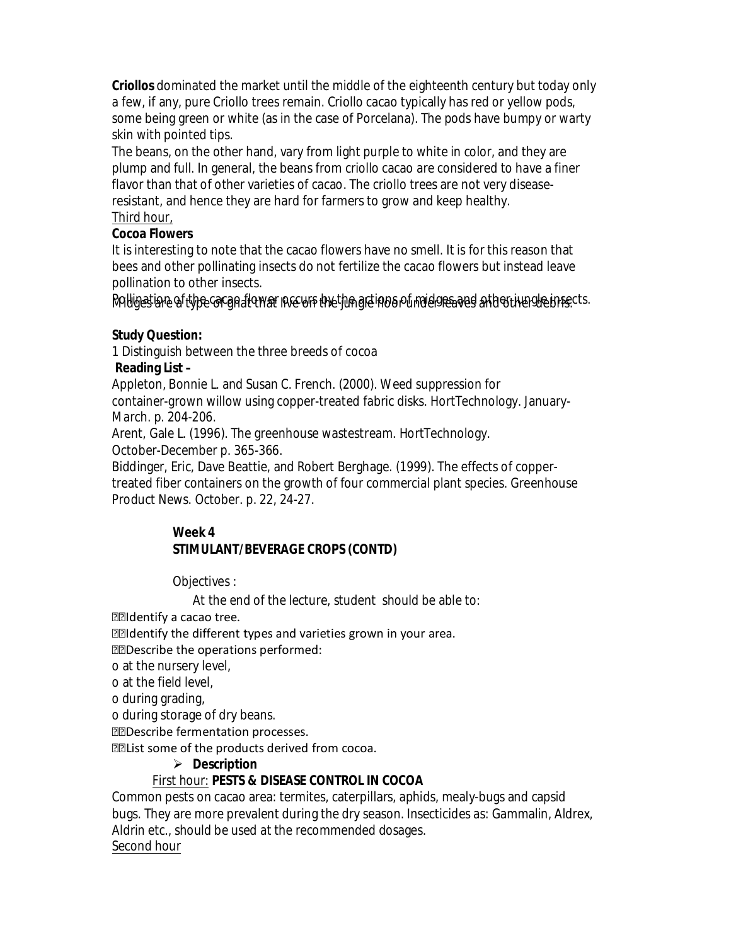**Criollos** dominated the market until the middle of the eighteenth century but today only a few, if any, pure Criollo trees remain. Criollo cacao typically has red or yellow pods, some being green or white (as in the case of Porcelana). The pods have bumpy or warty skin with pointed tips.

The beans, on the other hand, vary from light purple to white in color, and they are plump and full. In general, the beans from criollo cacao are considered to have a finer flavor than that of other varieties of cacao. The criollo trees are not very diseaseresistant, and hence they are hard for farmers to grow and keep healthy. Third hour,

### **Cocoa Flowers**

It is interesting to note that the cacao flowers have no smell. It is for this reason that bees and other pollinating insects do not fertilize the cacao flowers but instead leave pollination to other insects.

Rallination of the cacan flower necurs in the than grain of middes and other than de insects.

## **Study Question:**

1 Distinguish between the three breeds of cocoa

### **Reading List –**

Appleton, Bonnie L. and Susan C. French. (2000). Weed suppression for container-grown willow using copper-treated fabric disks. HortTechnology. January-March. p. 204-206.

Arent, Gale L. (1996). The greenhouse wastestream. HortTechnology.

October-December p. 365-366.

Biddinger, Eric, Dave Beattie, and Robert Berghage. (1999). The effects of coppertreated fiber containers on the growth of four commercial plant species. Greenhouse Product News. October. p. 22, 24-27.

### **Week 4 STIMULANT/BEVERAGE CROPS (CONTD)**

Objectives :

At the end of the lecture, student should be able to:

Identify a cacao tree.

**ELI** dentify the different types and varieties grown in your area.

Describe the operations performed:

o at the nursery level,

o at the field level,

o during grading,

o during storage of dry beans.

Describe fermentation processes.

**MEList some of the products derived from cocoa.** 

## **Description**

## First hour: **PESTS & DISEASE CONTROL IN COCOA**

Common pests on cacao area: termites, caterpillars, aphids, mealy-bugs and capsid bugs. They are more prevalent during the dry season. Insecticides as: Gammalin, Aldrex, Aldrin etc., should be used at the recommended dosages. Second hour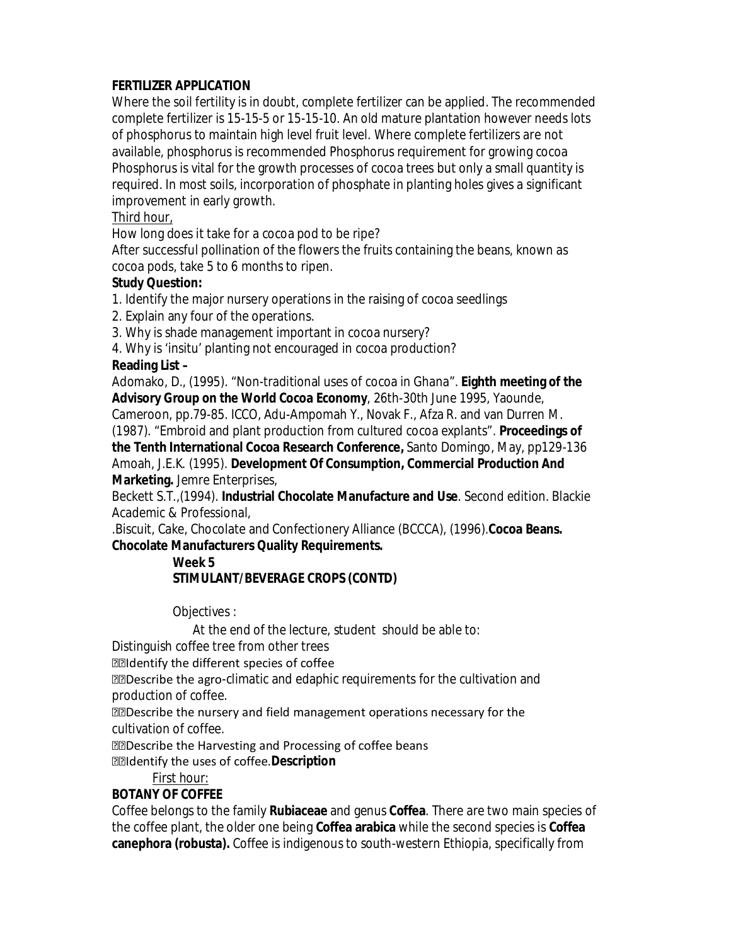### **FERTILIZER APPLICATION**

Where the soil fertility is in doubt, complete fertilizer can be applied. The recommended complete fertilizer is 15-15-5 or 15-15-10. An old mature plantation however needs lots of phosphorus to maintain high level fruit level. Where complete fertilizers are not available, phosphorus is recommended Phosphorus requirement for growing cocoa Phosphorus is vital for the growth processes of cocoa trees but only a small quantity is required. In most soils, incorporation of phosphate in planting holes gives a significant improvement in early growth.

### Third hour,

How long does it take for a cocoa pod to be ripe?

After successful pollination of the flowers the fruits containing the beans, known as cocoa pods, take 5 to 6 months to ripen.

### **Study Question:**

1. Identify the major nursery operations in the raising of cocoa seedlings

2. Explain any four of the operations.

3. Why is shade management important in cocoa nursery?

4. Why is 'insitu' planting not encouraged in cocoa production?

## **Reading List –**

Adomako, D., (1995). "Non-traditional uses of cocoa in Ghana". **Eighth meeting of the Advisory Group on the World Cocoa Economy**, 26th-30th June 1995, Yaounde,

Cameroon, pp.79-85. ICCO, Adu-Ampomah Y., Novak F., Afza R. and van Durren M.

(1987). "Embroid and plant production from cultured cocoa explants". **Proceedings of the Tenth International Cocoa Research Conference,** Santo Domingo, May, pp129-136 Amoah, J.E.K. (1995). **Development Of Consumption, Commercial Production And Marketing.** Jemre Enterprises,

Beckett S.T.,(1994). **Industrial Chocolate Manufacture and Use**. Second edition. Blackie Academic & Professional,

.Biscuit, Cake, Chocolate and Confectionery Alliance (BCCCA), (1996).**Cocoa Beans. Chocolate Manufacturers Quality Requirements.** 

#### **Week 5 STIMULANT/BEVERAGE CROPS (CONTD)**

Objectives :

At the end of the lecture, student should be able to:

Distinguish coffee tree from other trees

Identify the different species of coffee

Describe the agro-climatic and edaphic requirements for the cultivation and production of coffee.

**DED** escribe the nursery and field management operations necessary for the cultivation of coffee.

**DED** Describe the Harvesting and Processing of coffee beans Identify the uses of coffee.**Description**

### First hour:

### **BOTANY OF COFFEE**

Coffee belongs to the family **Rubiaceae** and genus **Coffea**. There are two main species of the coffee plant, the older one being **Coffea arabica** while the second species is **Coffea canephora (robusta).** Coffee is indigenous to south-western Ethiopia, specifically from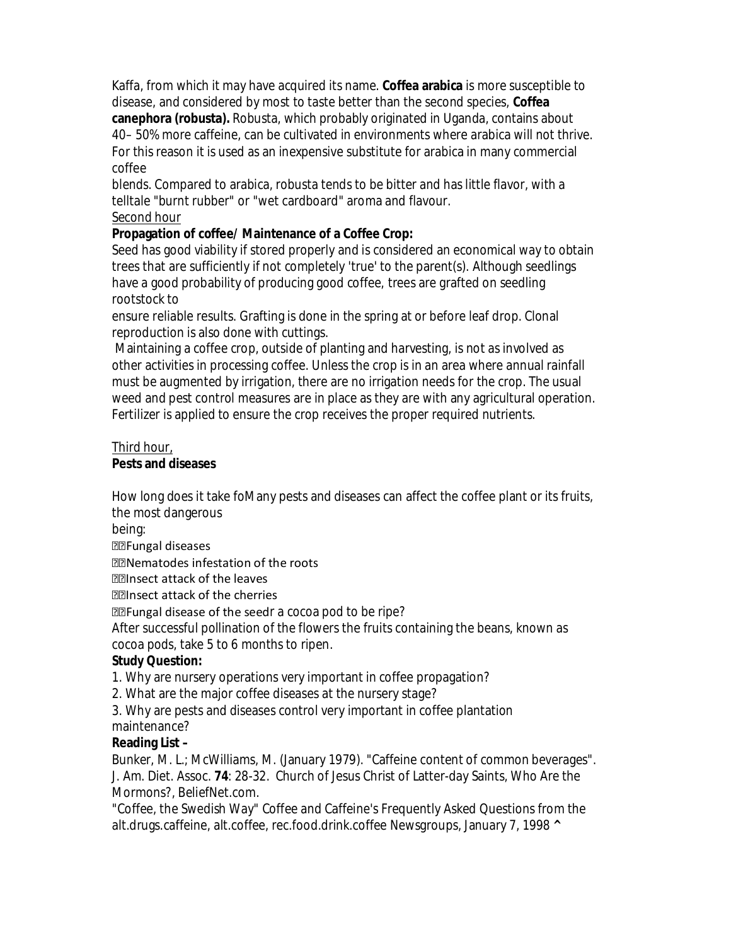Kaffa, from which it may have acquired its name. **Coffea arabica** is more susceptible to disease, and considered by most to taste better than the second species, **Coffea canephora (robusta).** Robusta, which probably originated in Uganda, contains about 40– 50% more caffeine, can be cultivated in environments where arabica will not thrive. For this reason it is used as an inexpensive substitute for arabica in many commercial coffee

blends. Compared to arabica, robusta tends to be bitter and has little flavor, with a telltale "burnt rubber" or "wet cardboard" aroma and flavour. Second hour

### **Propagation of coffee/ Maintenance of a Coffee Crop:**

Seed has good viability if stored properly and is considered an economical way to obtain trees that are sufficiently if not completely 'true' to the parent(s). Although seedlings have a good probability of producing good coffee, trees are grafted on seedling rootstock to

ensure reliable results. Grafting is done in the spring at or before leaf drop. Clonal reproduction is also done with cuttings.

Maintaining a coffee crop, outside of planting and harvesting, is not as involved as other activities in processing coffee. Unless the crop is in an area where annual rainfall must be augmented by irrigation, there are no irrigation needs for the crop. The usual weed and pest control measures are in place as they are with any agricultural operation. Fertilizer is applied to ensure the crop receives the proper required nutrients.

### Third hour,

#### **Pests and diseases**

How long does it take foMany pests and diseases can affect the coffee plant or its fruits, the most dangerous

being:

Fungal diseases

Nematodes infestation of the roots

Insect attack of the leaves

Insect attack of the cherries

**ELE** Fungal disease of the seedr a cocoa pod to be ripe?

After successful pollination of the flowers the fruits containing the beans, known as cocoa pods, take 5 to 6 months to ripen.

### **Study Question:**

1. Why are nursery operations very important in coffee propagation?

2. What are the major coffee diseases at the nursery stage?

3. Why are pests and diseases control very important in coffee plantation maintenance?

### **Reading List –**

Bunker, M. L.; McWilliams, M. (January 1979). "Caffeine content of common beverages". J. Am. Diet. Assoc. **74**: 28-32. Church of Jesus Christ of Latter-day Saints, Who Are the Mormons?, BeliefNet.com.

"Coffee, the Swedish Way" Coffee and Caffeine's Frequently Asked Questions from the alt.drugs.caffeine, alt.coffee, rec.food.drink.coffee Newsgroups, January 7, 1998 **^**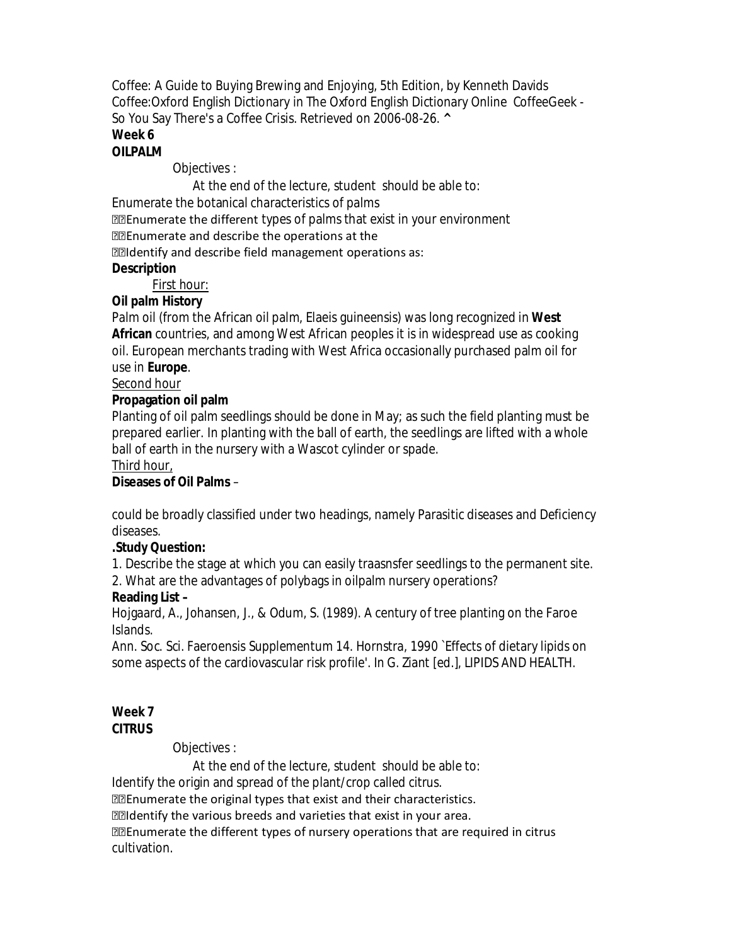Coffee: A Guide to Buying Brewing and Enjoying, 5th Edition, by Kenneth Davids Coffee:Oxford English Dictionary in The Oxford English Dictionary Online CoffeeGeek - So You Say There's a Coffee Crisis. Retrieved on 2006-08-26. **^**

#### **Week 6 OILPALM**

Objectives :

At the end of the lecture, student should be able to: Enumerate the botanical characteristics of palms Enumerate the different types of palms that exist in your environment Enumerate and describe the operations at the **EZIdentify and describe field management operations as:** 

### **Description**

First hour:

## **Oil palm History**

Palm oil (from the African oil palm, Elaeis guineensis) was long recognized in **West African** countries, and among West African peoples it is in widespread use as cooking oil. European merchants trading with West Africa occasionally purchased palm oil for use in **Europe**.

#### Second hour

### **Propagation oil palm**

Planting of oil palm seedlings should be done in May; as such the field planting must be prepared earlier. In planting with the ball of earth, the seedlings are lifted with a whole ball of earth in the nursery with a Wascot cylinder or spade.

#### Third hour,

### **Diseases of Oil Palms** –

could be broadly classified under two headings, namely Parasitic diseases and Deficiency diseases.

### **.Study Question:**

1. Describe the stage at which you can easily traasnsfer seedlings to the permanent site.

2. What are the advantages of polybags in oilpalm nursery operations?

### **Reading List –**

Hojgaard, A., Johansen, J., & Odum, S. (1989). A century of tree planting on the Faroe Islands.

Ann. Soc. Sci. Faeroensis Supplementum 14. Hornstra, 1990 `Effects of dietary lipids on some aspects of the cardiovascular risk profile'. In G. Ziant [ed.], LIPIDS AND HEALTH.

#### **Week 7 CITRUS**

Objectives :

At the end of the lecture, student should be able to:

Identify the origin and spread of the plant/crop called citrus.

Enumerate the original types that exist and their characteristics.

**ELIDENTIFY THE VALUAT STARE IS SET UP THE VALUAT EXIST OF STARK** In your area.

Enumerate the different types of nursery operations that are required in citrus cultivation.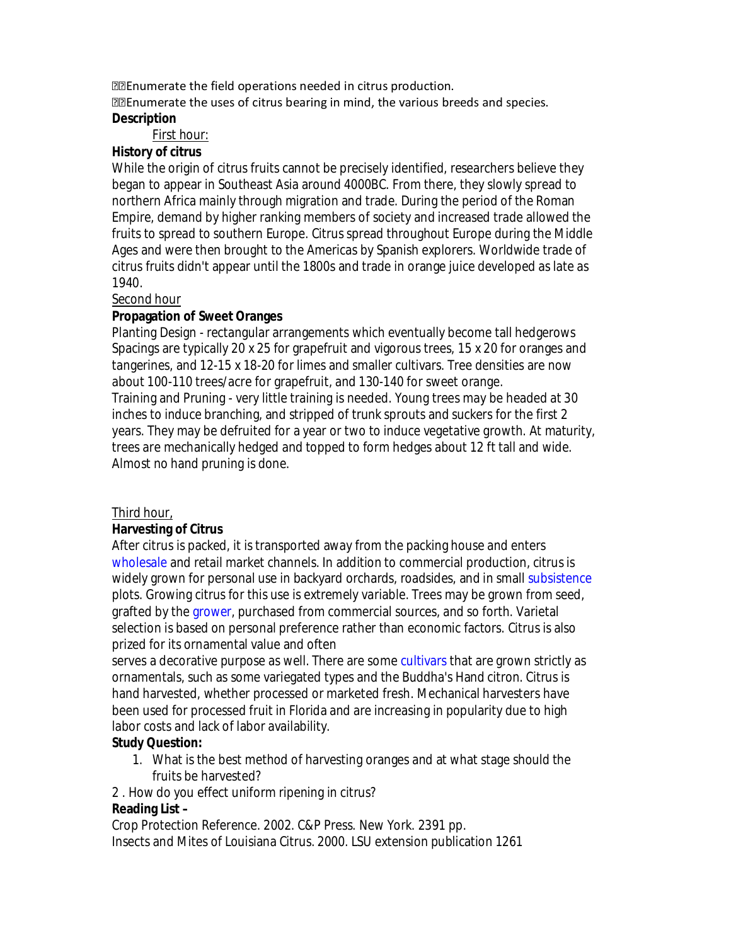Enumerate the field operations needed in citrus production.

Enumerate the uses of citrus bearing in mind, the various breeds and species. **Description**

### First hour:

### **History of citrus**

While the origin of citrus fruits cannot be precisely identified, researchers believe they began to appear in Southeast Asia around 4000BC. From there, they slowly spread to northern Africa mainly through migration and trade. During the period of the Roman Empire, demand by higher ranking members of society and increased trade allowed the fruits to spread to southern Europe. Citrus spread throughout Europe during the Middle Ages and were then brought to the Americas by Spanish explorers. Worldwide trade of citrus fruits didn't appear until the 1800s and trade in orange juice developed as late as 1940.

Second hour

### **Propagation of Sweet Oranges**

Planting Design - rectangular arrangements which eventually become tall hedgerows Spacings are typically 20 x 25 for grapefruit and vigorous trees, 15 x 20 for oranges and tangerines, and 12-15 x 18-20 for limes and smaller cultivars. Tree densities are now about 100-110 trees/acre for grapefruit, and 130-140 for sweet orange. Training and Pruning - very little training is needed. Young trees may be headed at 30 inches to induce branching, and stripped of trunk sprouts and suckers for the first 2 years. They may be defruited for a year or two to induce vegetative growth. At maturity, trees are mechanically hedged and topped to form hedges about 12 ft tall and wide. Almost no hand pruning is done.

### Third hour,

### **Harvesting of Citrus**

After citrus is packed, it is transported away from the packing house and enters wholesale and retail market channels. In addition to commercial production, citrus is widely grown for personal use in backyard orchards, roadsides, and in small subsistence plots. Growing citrus for this use is extremely variable. Trees may be grown from seed, grafted by the grower, purchased from commercial sources, and so forth. Varietal selection is based on personal preference rather than economic factors. Citrus is also prized for its ornamental value and often

serves a decorative purpose as well. There are some cultivars that are grown strictly as ornamentals, such as some variegated types and the Buddha's Hand citron. Citrus is hand harvested, whether processed or marketed fresh. Mechanical harvesters have been used for processed fruit in Florida and are increasing in popularity due to high labor costs and lack of labor availability.

### **Study Question:**

- 1. What is the best method of harvesting oranges and at what stage should the fruits be harvested?
- 2 . How do you effect uniform ripening in citrus?

### **Reading List –**

Crop Protection Reference. 2002. C&P Press. New York. 2391 pp. Insects and Mites of Louisiana Citrus. 2000. LSU extension publication 1261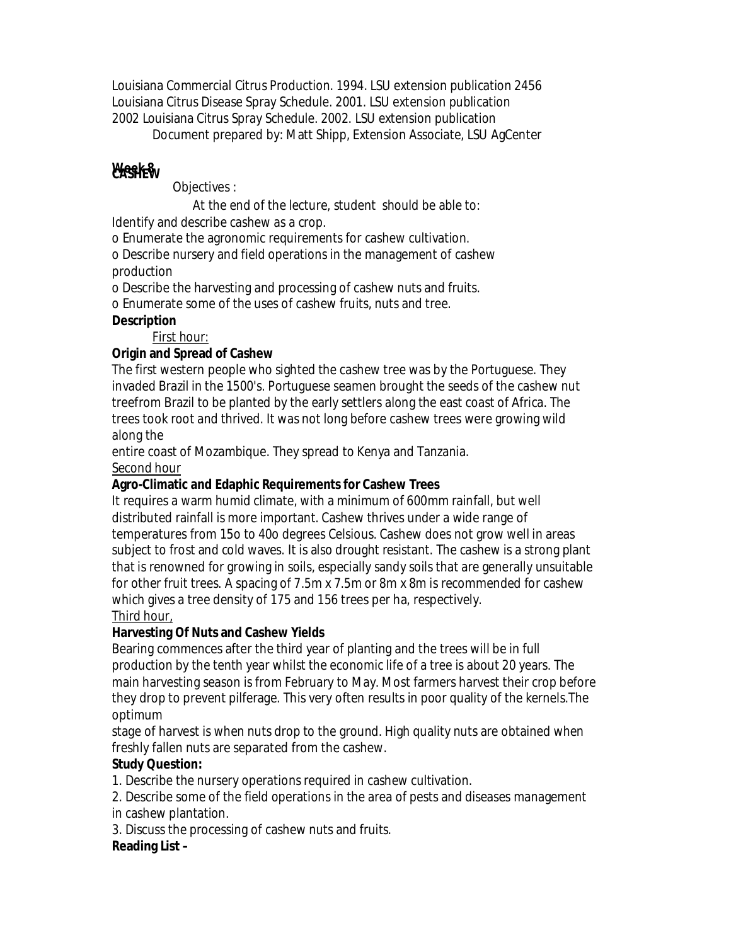Louisiana Commercial Citrus Production. 1994. LSU extension publication 2456 Louisiana Citrus Disease Spray Schedule. 2001. LSU extension publication 2002 Louisiana Citrus Spray Schedule. 2002. LSU extension publication

Document prepared by: Matt Shipp, Extension Associate, LSU AgCenter

# **Week 8 CASHEW**

Objectives :

At the end of the lecture, student should be able to: Identify and describe cashew as a crop.

o Enumerate the agronomic requirements for cashew cultivation.

o Describe nursery and field operations in the management of cashew production

o Describe the harvesting and processing of cashew nuts and fruits.

o Enumerate some of the uses of cashew fruits, nuts and tree.

## **Description**

First hour:

## **Origin and Spread of Cashew**

The first western people who sighted the cashew tree was by the Portuguese. They invaded Brazil in the 1500's. Portuguese seamen brought the seeds of the cashew nut treefrom Brazil to be planted by the early settlers along the east coast of Africa. The trees took root and thrived. It was not long before cashew trees were growing wild along the

entire coast of Mozambique. They spread to Kenya and Tanzania.

Second hour

## **Agro-Climatic and Edaphic Requirements for Cashew Trees**

It requires a warm humid climate, with a minimum of 600mm rainfall, but well distributed rainfall is more important. Cashew thrives under a wide range of temperatures from 15o to 40o degrees Celsious. Cashew does not grow well in areas subject to frost and cold waves. It is also drought resistant. The cashew is a strong plant that is renowned for growing in soils, especially sandy soils that are generally unsuitable for other fruit trees. A spacing of 7.5m x 7.5m or 8m x 8m is recommended for cashew which gives a tree density of 175 and 156 trees per ha, respectively. Third hour,

## **Harvesting Of Nuts and Cashew Yields**

Bearing commences after the third year of planting and the trees will be in full production by the tenth year whilst the economic life of a tree is about 20 years. The main harvesting season is from February to May. Most farmers harvest their crop before they drop to prevent pilferage. This very often results in poor quality of the kernels.The optimum

stage of harvest is when nuts drop to the ground. High quality nuts are obtained when freshly fallen nuts are separated from the cashew.

## **Study Question:**

1. Describe the nursery operations required in cashew cultivation.

2. Describe some of the field operations in the area of pests and diseases management in cashew plantation.

3. Discuss the processing of cashew nuts and fruits.

## **Reading List –**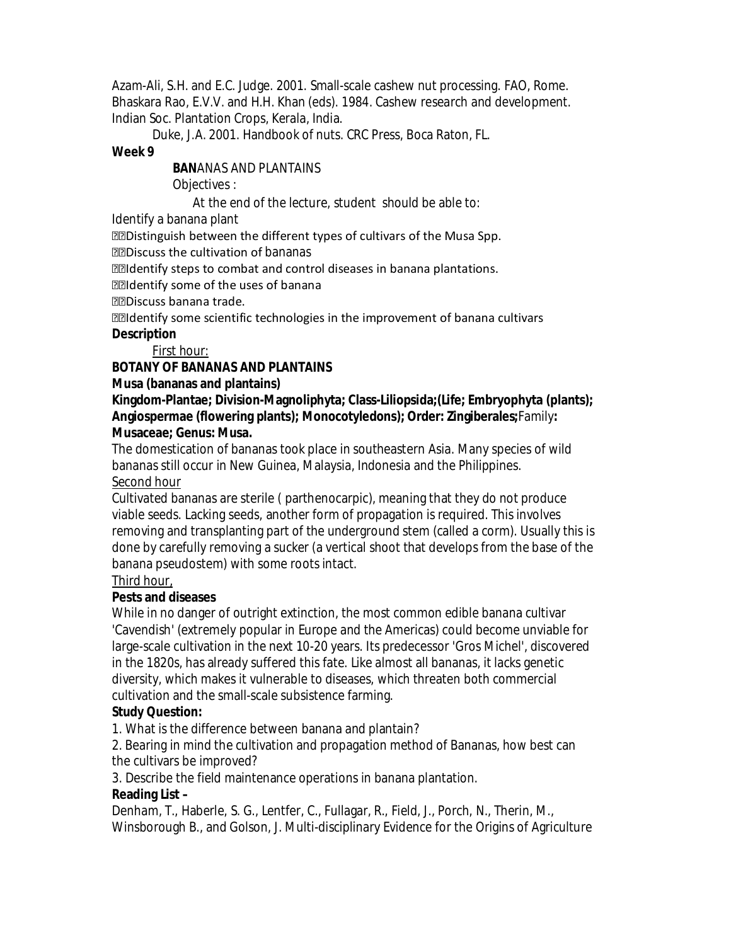Azam-Ali, S.H. and E.C. Judge. 2001. Small-scale cashew nut processing. FAO, Rome. Bhaskara Rao, E.V.V. and H.H. Khan (eds). 1984. Cashew research and development. Indian Soc. Plantation Crops, Kerala, India.

Duke, J.A. 2001. Handbook of nuts. CRC Press, Boca Raton, FL.

#### **Week 9**

#### **BAN**ANAS AND PLANTAINS

Objectives :

At the end of the lecture, student should be able to:

Identify a banana plant

Distinguish between the different types of cultivars of the Musa Spp.

Discuss the cultivation of bananas

**IIIdentify steps to combat and control diseases in banana plantations.** 

Identify some of the uses of banana

Discuss banana trade.

Identify some scientific technologies in the improvement of banana cultivars **Description**

First hour:

### **BOTANY OF BANANAS AND PLANTAINS**

### **Musa (bananas and plantains)**

**Kingdom-Plantae; Division-Magnoliphyta; Class-Liliopsida;(Life; Embryophyta (plants); Angiospermae (flowering plants); Monocotyledons); Order: Zingiberales;**Family**: Musaceae; Genus: Musa.**

The domestication of bananas took place in southeastern Asia. Many species of wild bananas still occur in New Guinea, Malaysia, Indonesia and the Philippines. Second hour

Cultivated bananas are sterile ( parthenocarpic), meaning that they do not produce viable seeds. Lacking seeds, another form of propagation is required. This involves removing and transplanting part of the underground stem (called a corm). Usually this is done by carefully removing a sucker (a vertical shoot that develops from the base of the banana pseudostem) with some roots intact.

### Third hour,

### **Pests and diseases**

While in no danger of outright extinction, the most common edible banana cultivar 'Cavendish' (extremely popular in Europe and the Americas) could become unviable for large-scale cultivation in the next 10-20 years. Its predecessor 'Gros Michel', discovered in the 1820s, has already suffered this fate. Like almost all bananas, it lacks genetic diversity, which makes it vulnerable to diseases, which threaten both commercial cultivation and the small-scale subsistence farming.

### **Study Question:**

1. What is the difference between banana and plantain?

2. Bearing in mind the cultivation and propagation method of Bananas, how best can the cultivars be improved?

3. Describe the field maintenance operations in banana plantation.

### **Reading List –**

Denham, T., Haberle, S. G., Lentfer, C., Fullagar, R., Field, J., Porch, N., Therin, M., Winsborough B., and Golson, J. Multi-disciplinary Evidence for the Origins of Agriculture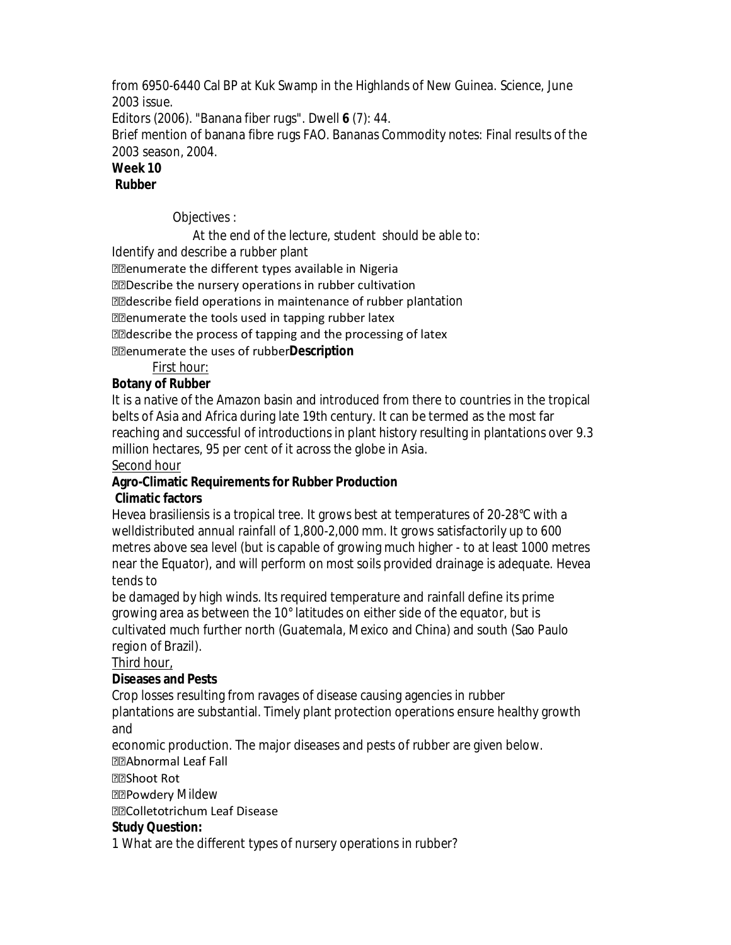from 6950-6440 Cal BP at Kuk Swamp in the Highlands of New Guinea. Science, June 2003 issue.

Editors (2006). "Banana fiber rugs". Dwell **6** (7): 44.

Brief mention of banana fibre rugs FAO. Bananas Commodity notes: Final results of the 2003 season, 2004.

### **Week 10**

#### **Rubber**

Objectives :

At the end of the lecture, student should be able to:

Identify and describe a rubber plant

**Eldenumerate the different types available in Nigeria** 

**DED** Describe the nursery operations in rubber cultivation

**DE**describe field operations in maintenance of rubber plantation

**Elgenumerate the tools used in tapping rubber latex** 

*D* describe the process of tapping and the processing of latex

enumerate the uses of rubber**Description**

First hour:

### **Botany of Rubber**

It is a native of the Amazon basin and introduced from there to countries in the tropical belts of Asia and Africa during late 19th century. It can be termed as the most far reaching and successful of introductions in plant history resulting in plantations over 9.3 million hectares, 95 per cent of it across the globe in Asia.

#### Second hour

## **Agro-Climatic Requirements for Rubber Production**

### **Climatic factors**

Hevea brasiliensis is a tropical tree. It grows best at temperatures of 20-28°C with a welldistributed annual rainfall of 1,800-2,000 mm. It grows satisfactorily up to 600 metres above sea level (but is capable of growing much higher - to at least 1000 metres near the Equator), and will perform on most soils provided drainage is adequate. Hevea tends to

be damaged by high winds. Its required temperature and rainfall define its prime growing area as between the 10° latitudes on either side of the equator, but is cultivated much further north (Guatemala, Mexico and China) and south (Sao Paulo region of Brazil).

### Third hour,

### **Diseases and Pests**

Crop losses resulting from ravages of disease causing agencies in rubber plantations are substantial. Timely plant protection operations ensure healthy growth and

economic production. The major diseases and pests of rubber are given below. Abnormal Leaf Fall

### Shoot Rot

**PRPowdery Mildew** 

Colletotrichum Leaf Disease

### **Study Question:**

1 What are the different types of nursery operations in rubber?